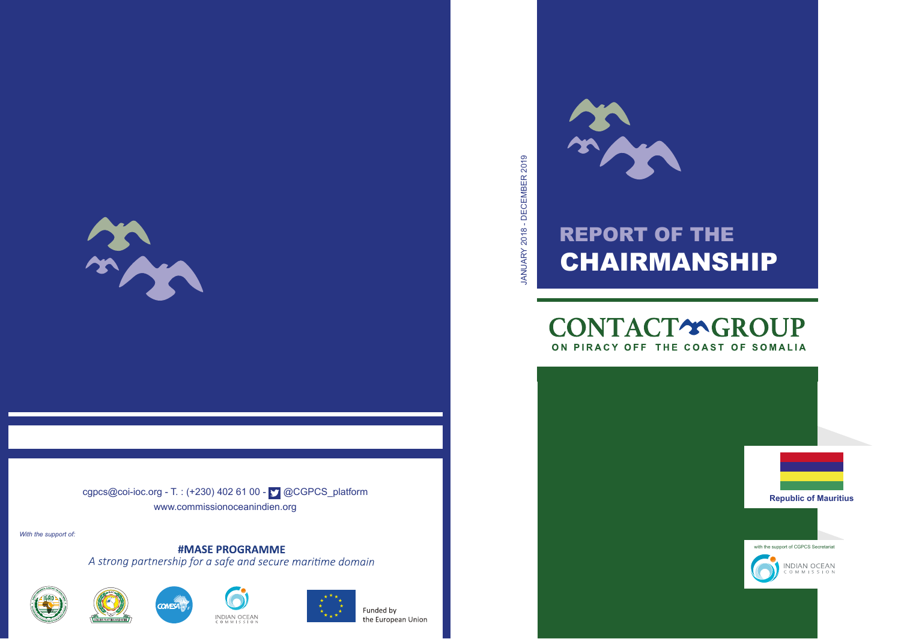

cgpcs@coi-ioc.org - T. : (+230) 402 61 00 -  $\Box$  @CGPCS\_platform www.commissionoceanindien.org

*With the support of:*

**#MASE PROGRAMME** A strong partnership for a safe and secure maritime domain









# REPORT OF THE CHAIRMANSHIP

**BACK** 

## **CONTACT\*GROUP** ON PIRACY OFF THE COAST OF SOMALIA

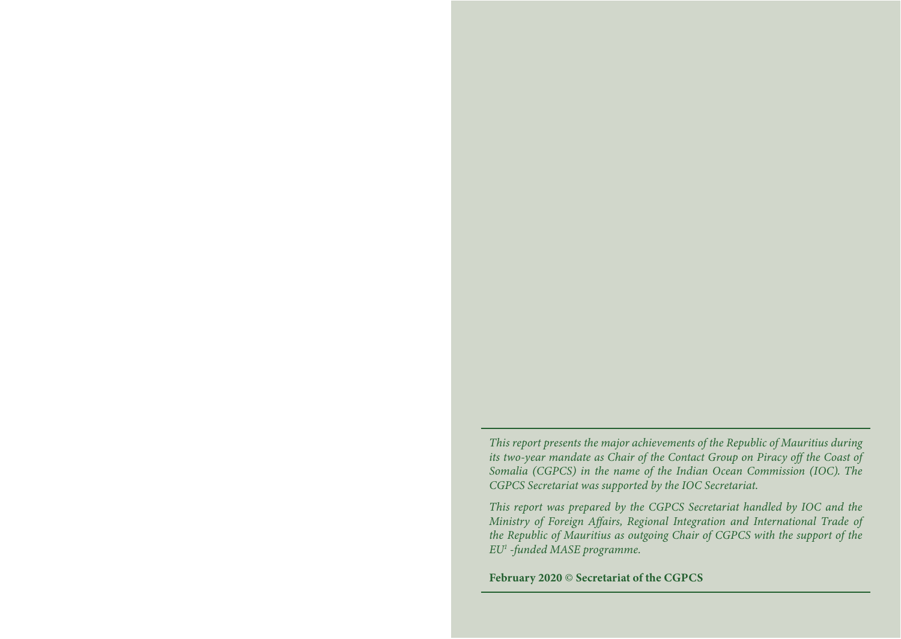*This report presents the major achievements of the Republic of Mauritius during its two-year mandate as Chair of the Contact Group on Piracy off the Coast of Somalia (CGPCS) in the name of the Indian Ocean Commission (IOC). The CGPCS Secretariat was supported by the IOC Secretariat.*

*This report was prepared by the CGPCS Secretariat handled by IOC and the Ministry of Foreign Affairs, Regional Integration and International Trade of the Republic of Mauritius as outgoing Chair of CGPCS with the support of the EU1 -funded MASE programme.*

February 2020 © Secretariat of the CGPCS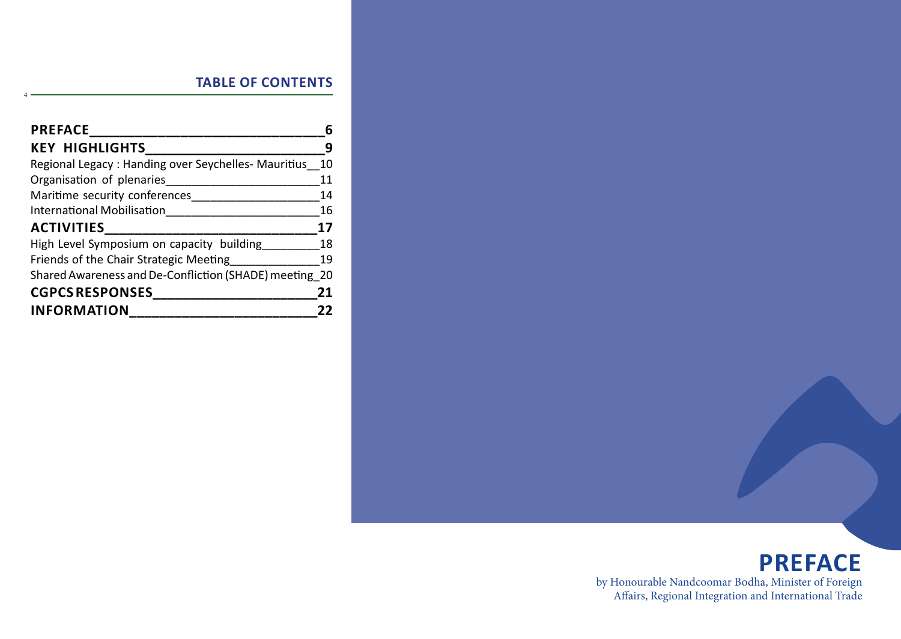| <b>PREFACE</b>                                         |    |
|--------------------------------------------------------|----|
| <b>KEY HIGHLIGHTS</b>                                  |    |
| Regional Legacy: Handing over Seychelles- Mauritius    | 10 |
| Organisation of plenaries                              | 11 |
| Maritime security conferences                          | 14 |
| <b>International Mobilisation</b>                      | 16 |
| <b>ACTIVITIES</b>                                      | 17 |
| High Level Symposium on capacity building              | 18 |
| Friends of the Chair Strategic Meeting                 | 19 |
| Shared Awareness and De-Confliction (SHADE) meeting 20 |    |
| <b>CGPCS RESPONSES</b>                                 | 21 |
| <b>INFORMATION</b>                                     |    |

4

## **PREFACE** by Honourable Nandcoomar Bodha, Minister of Foreign Affairs, Regional Integration and International Trade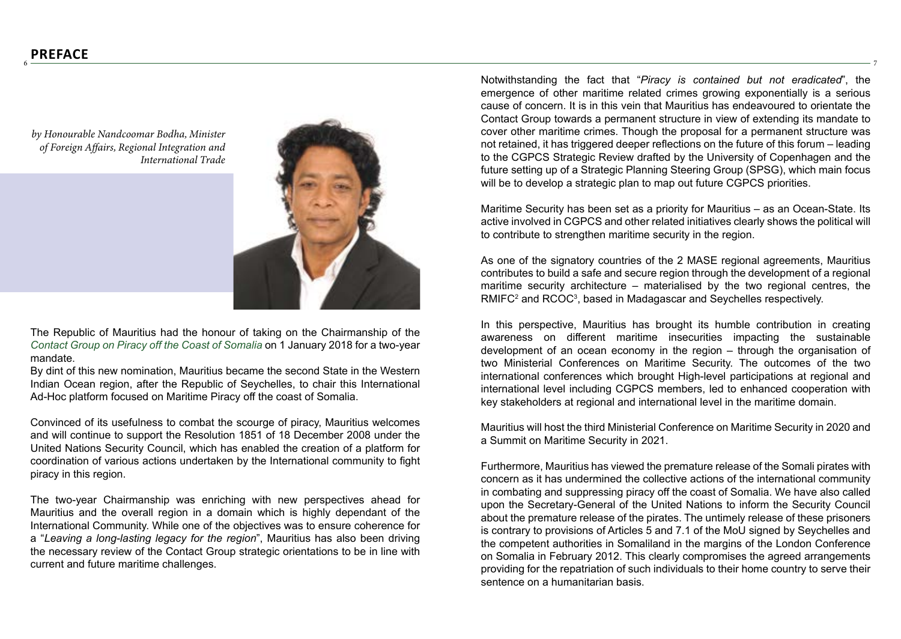6

*by Honourable Nandcoomar Bodha, Minister of Foreign Affairs, Regional Integration and International Trade*

The Republic of Mauritius had the honour of taking on the Chairmanship of the *Contact Group on Piracy off the Coast of Somalia* on 1 January 2018 for a two-year mandate.

By dint of this new nomination, Mauritius became the second State in the Western Indian Ocean region, after the Republic of Seychelles, to chair this International Ad-Hoc platform focused on Maritime Piracy off the coast of Somalia.

Convinced of its usefulness to combat the scourge of piracy, Mauritius welcomes and will continue to support the Resolution 1851 of 18 December 2008 under the United Nations Security Council, which has enabled the creation of a platform for coordination of various actions undertaken by the International community to fight piracy in this region.

The two-year Chairmanship was enriching with new perspectives ahead for Mauritius and the overall region in a domain which is highly dependant of the International Community. While one of the objectives was to ensure coherence for a "*Leaving a long-lasting legacy for the region*", Mauritius has also been driving the necessary review of the Contact Group strategic orientations to be in line with current and future maritime challenges.

Notwithstanding the fact that "*Piracy is contained but not eradicated*", the emergence of other maritime related crimes growing exponentially is a serious cause of concern. It is in this vein that Mauritius has endeavoured to orientate the Contact Group towards a permanent structure in view of extending its mandate to cover other maritime crimes. Though the proposal for a permanent structure was not retained, it has triggered deeper reflections on the future of this forum – leading to the CGPCS Strategic Review drafted by the University of Copenhagen and the future setting up of a Strategic Planning Steering Group (SPSG), which main focus will be to develop a strategic plan to map out future CGPCS priorities.

7

Maritime Security has been set as a priority for Mauritius – as an Ocean-State. Its active involved in CGPCS and other related initiatives clearly shows the political will to contribute to strengthen maritime security in the region.

As one of the signatory countries of the 2 MASE regional agreements, Mauritius contributes to build a safe and secure region through the development of a regional maritime security architecture – materialised by the two regional centres, the RMIFC<sup>2</sup> and RCOC<sup>3</sup>, based in Madagascar and Seychelles respectively.

In this perspective, Mauritius has brought its humble contribution in creating awareness on different maritime insecurities impacting the sustainable development of an ocean economy in the region – through the organisation of two Ministerial Conferences on Maritime Security. The outcomes of the two international conferences which brought High-level participations at regional and international level including CGPCS members, led to enhanced cooperation with key stakeholders at regional and international level in the maritime domain.

Mauritius will host the third Ministerial Conference on Maritime Security in 2020 and a Summit on Maritime Security in 2021.

Furthermore, Mauritius has viewed the premature release of the Somali pirates with concern as it has undermined the collective actions of the international community in combating and suppressing piracy off the coast of Somalia. We have also called upon the Secretary-General of the United Nations to inform the Security Council about the premature release of the pirates. The untimely release of these prisoners is contrary to provisions of Articles 5 and 7.1 of the MoU signed by Seychelles and the competent authorities in Somaliland in the margins of the London Conference on Somalia in February 2012. This clearly compromises the agreed arrangements providing for the repatriation of such individuals to their home country to serve their sentence on a humanitarian basis.

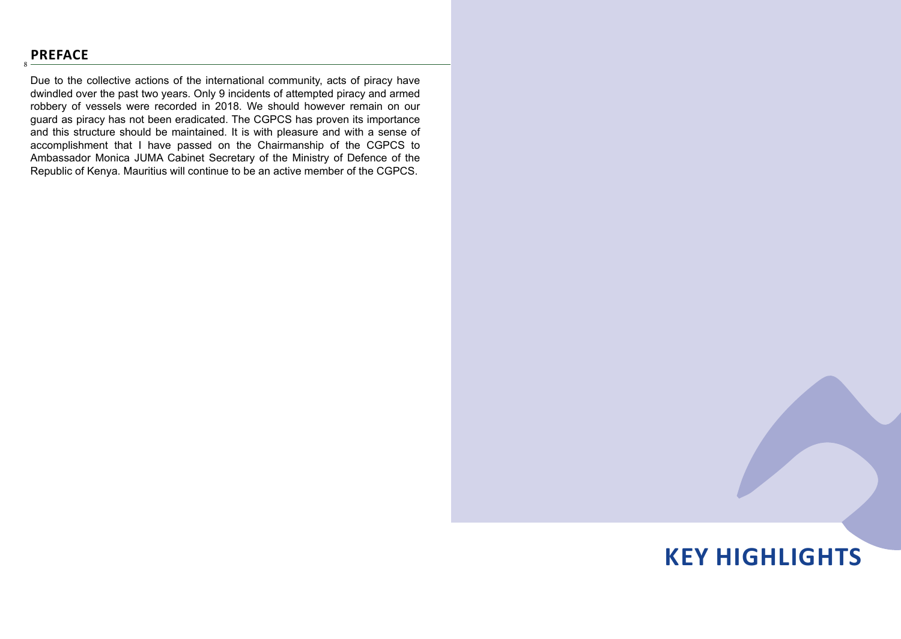## **PREFACE**

8

Due to the collective actions of the international community, acts of piracy have dwindled over the past two years. Only 9 incidents of attempted piracy and armed robbery of vessels were recorded in 2018. We should however remain on our guard as piracy has not been eradicated. The CGPCS has proven its importance and this structure should be maintained. It is with pleasure and with a sense of accomplishment that I have passed on the Chairmanship of the CGPCS to Ambassador Monica JUMA Cabinet Secretary of the Ministry of Defence of the Republic of Kenya. Mauritius will continue to be an active member of the CGPCS.

# **KEY HIGHLIGHTS**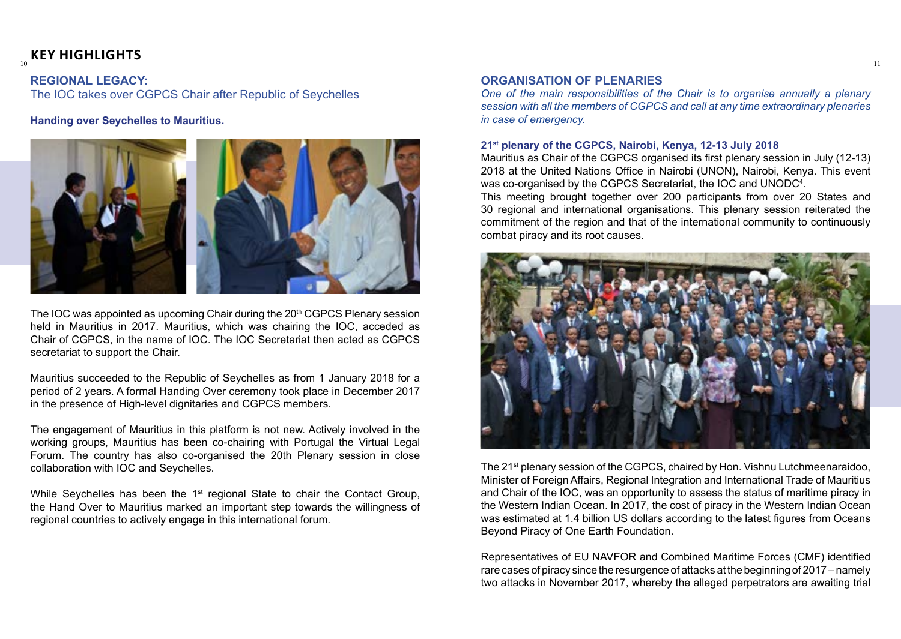10

### **REGIONAL LEGACY:**

The IOC takes over CGPCS Chair after Republic of Seychelles

**Handing over Seychelles to Mauritius.**



The IOC was appointed as upcoming Chair during the 20<sup>th</sup> CGPCS Plenary session held in Mauritius in 2017. Mauritius, which was chairing the IOC, acceded as Chair of CGPCS, in the name of IOC. The IOC Secretariat then acted as CGPCS secretariat to support the Chair.

Mauritius succeeded to the Republic of Seychelles as from 1 January 2018 for a period of 2 years. A formal Handing Over ceremony took place in December 2017 in the presence of High-level dignitaries and CGPCS members.

The engagement of Mauritius in this platform is not new. Actively involved in the working groups, Mauritius has been co-chairing with Portugal the Virtual Legal Forum. The country has also co-organised the 20th Plenary session in close collaboration with IOC and Seychelles.

While Seychelles has been the  $1<sup>st</sup>$  regional State to chair the Contact Group, the Hand Over to Mauritius marked an important step towards the willingness of regional countries to actively engage in this international forum.

### **ORGANISATION OF PLENARIES**

*One of the main responsibilities of the Chair is to organise annually a plenary session with all the members of CGPCS and call at any time extraordinary plenaries in case of emergency.*

11

#### **21st plenary of the CGPCS, Nairobi, Kenya, 12-13 July 2018**

Mauritius as Chair of the CGPCS organised its first plenary session in July (12-13) 2018 at the United Nations Office in Nairobi (UNON), Nairobi, Kenya. This event was co-organised by the CGPCS Secretariat, the IOC and UNODC4 .

This meeting brought together over 200 participants from over 20 States and 30 regional and international organisations. This plenary session reiterated the commitment of the region and that of the international community to continuously combat piracy and its root causes.



The 21st plenary session of the CGPCS, chaired by Hon. Vishnu Lutchmeenaraidoo, Minister of Foreign Affairs, Regional Integration and International Trade of Mauritius and Chair of the IOC, was an opportunity to assess the status of maritime piracy in the Western Indian Ocean. In 2017, the cost of piracy in the Western Indian Ocean was estimated at 1.4 billion US dollars according to the latest figures from Oceans Beyond Piracy of One Earth Foundation.

Representatives of EU NAVFOR and Combined Maritime Forces (CMF) identified rare cases of piracy since the resurgence of attacks at the beginning of 2017 – namely two attacks in November 2017, whereby the alleged perpetrators are awaiting trial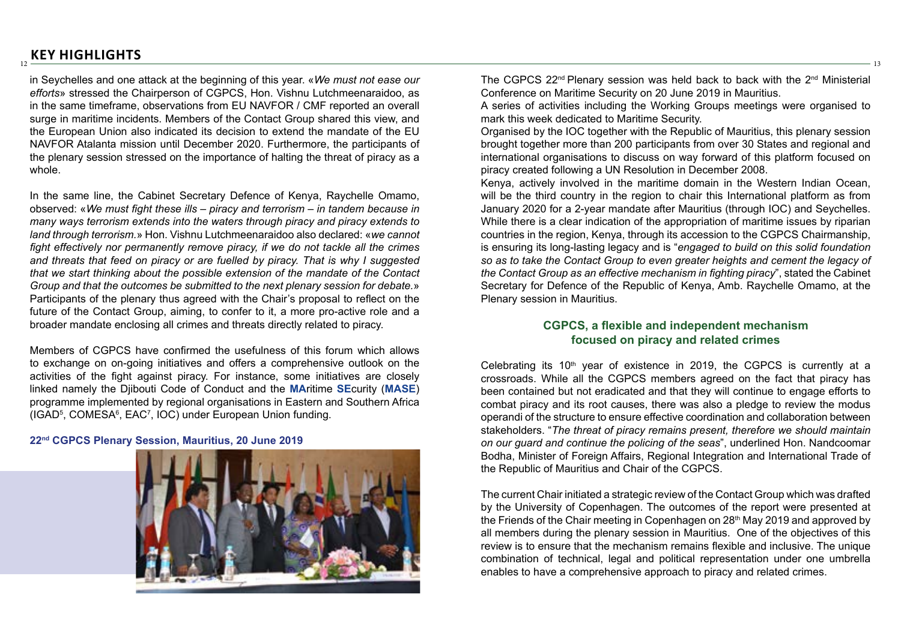in Seychelles and one attack at the beginning of this year. «*We must not ease our efforts*» stressed the Chairperson of CGPCS, Hon. Vishnu Lutchmeenaraidoo, as in the same timeframe, observations from EU NAVFOR / CMF reported an overall surge in maritime incidents. Members of the Contact Group shared this view, and the European Union also indicated its decision to extend the mandate of the EU NAVFOR Atalanta mission until December 2020. Furthermore, the participants of the plenary session stressed on the importance of halting the threat of piracy as a whole.

In the same line, the Cabinet Secretary Defence of Kenya, Raychelle Omamo, observed: «*We must fight these ills – piracy and terrorism – in tandem because in many ways terrorism extends into the waters through piracy and piracy extends to land through terrorism.*» Hon. Vishnu Lutchmeenaraidoo also declared: «*we cannot fight effectively nor permanently remove piracy, if we do not tackle all the crimes and threats that feed on piracy or are fuelled by piracy. That is why I suggested that we start thinking about the possible extension of the mandate of the Contact Group and that the outcomes be submitted to the next plenary session for debate.*» Participants of the plenary thus agreed with the Chair's proposal to reflect on the future of the Contact Group, aiming, to confer to it, a more pro-active role and a broader mandate enclosing all crimes and threats directly related to piracy.

Members of CGPCS have confirmed the usefulness of this forum which allows to exchange on on-going initiatives and offers a comprehensive outlook on the activities of the fight against piracy. For instance, some initiatives are closely linked namely the Djibouti Code of Conduct and the **MA**ritime **SE**curity (**MASE**) programme implemented by regional organisations in Eastern and Southern Africa (IGAD<sup>5</sup>, COMESA<sup>6</sup>, EAC<sup>7</sup>, IOC) under European Union funding.

#### **22nd CGPCS Plenary Session, Mauritius, 20 June 2019**



The CGPCS 22nd Plenary session was held back to back with the 2nd Ministerial Conference on Maritime Security on 20 June 2019 in Mauritius.

13

A series of activities including the Working Groups meetings were organised to mark this week dedicated to Maritime Security.

Organised by the IOC together with the Republic of Mauritius, this plenary session brought together more than 200 participants from over 30 States and regional and international organisations to discuss on way forward of this platform focused on piracy created following a UN Resolution in December 2008.

Kenya, actively involved in the maritime domain in the Western Indian Ocean, will be the third country in the region to chair this International platform as from January 2020 for a 2-year mandate after Mauritius (through IOC) and Seychelles. While there is a clear indication of the appropriation of maritime issues by riparian countries in the region, Kenya, through its accession to the CGPCS Chairmanship, is ensuring its long-lasting legacy and is "*engaged to build on this solid foundation so as to take the Contact Group to even greater heights and cement the legacy of the Contact Group as an effective mechanism in fighting piracy*", stated the Cabinet Secretary for Defence of the Republic of Kenya, Amb. Raychelle Omamo, at the Plenary session in Mauritius.

### **CGPCS, a flexible and independent mechanism focused on piracy and related crimes**

Celebrating its  $10<sup>th</sup>$  year of existence in 2019, the CGPCS is currently at a crossroads. While all the CGPCS members agreed on the fact that piracy has been contained but not eradicated and that they will continue to engage efforts to combat piracy and its root causes, there was also a pledge to review the modus operandi of the structure to ensure effective coordination and collaboration between stakeholders. "*The threat of piracy remains present, therefore we should maintain on our guard and continue the policing of the seas*", underlined Hon. Nandcoomar Bodha, Minister of Foreign Affairs, Regional Integration and International Trade of the Republic of Mauritius and Chair of the CGPCS.

The current Chair initiated a strategic review of the Contact Group which was drafted by the University of Copenhagen. The outcomes of the report were presented at the Friends of the Chair meeting in Copenhagen on 28<sup>th</sup> May 2019 and approved by all members during the plenary session in Mauritius. One of the objectives of this review is to ensure that the mechanism remains flexible and inclusive. The unique combination of technical, legal and political representation under one umbrella enables to have a comprehensive approach to piracy and related crimes.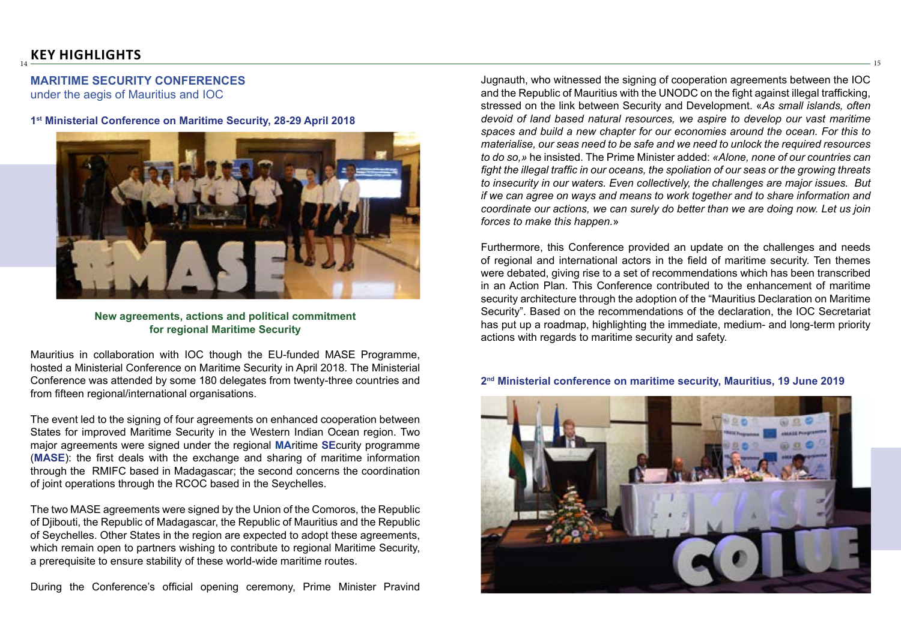## **MARITIME SECURITY CONFERENCES**

under the aegis of Mauritius and IOC

#### **1st Ministerial Conference on Maritime Security, 28-29 April 2018**



**New agreements, actions and political commitment for regional Maritime Security**

Mauritius in collaboration with IOC though the EU-funded MASE Programme, hosted a Ministerial Conference on Maritime Security in April 2018. The Ministerial Conference was attended by some 180 delegates from twenty-three countries and from fifteen regional/international organisations.

The event led to the signing of four agreements on enhanced cooperation between States for improved Maritime Security in the Western Indian Ocean region. Two major agreements were signed under the regional **MA**ritime **SE**curity programme (**MASE**): the first deals with the exchange and sharing of maritime information through the RMIFC based in Madagascar; the second concerns the coordination of joint operations through the RCOC based in the Seychelles.

The two MASE agreements were signed by the Union of the Comoros, the Republic of Djibouti, the Republic of Madagascar, the Republic of Mauritius and the Republic of Seychelles. Other States in the region are expected to adopt these agreements, which remain open to partners wishing to contribute to regional Maritime Security, a prerequisite to ensure stability of these world-wide maritime routes.

During the Conference's official opening ceremony, Prime Minister Pravind

Jugnauth, who witnessed the signing of cooperation agreements between the IOC and the Republic of Mauritius with the UNODC on the fight against illegal trafficking, stressed on the link between Security and Development. «*As small islands, often devoid of land based natural resources, we aspire to develop our vast maritime spaces and build a new chapter for our economies around the ocean. For this to materialise, our seas need to be safe and we need to unlock the required resources to do so,»* he insisted. The Prime Minister added: *«Alone, none of our countries can fight the illegal traffic in our oceans, the spoliation of our seas or the growing threats to insecurity in our waters. Even collectively, the challenges are major issues. But if we can agree on ways and means to work together and to share information and coordinate our actions, we can surely do better than we are doing now. Let us join forces to make this happen.*»

15

Furthermore, this Conference provided an update on the challenges and needs of regional and international actors in the field of maritime security. Ten themes were debated, giving rise to a set of recommendations which has been transcribed in an Action Plan. This Conference contributed to the enhancement of maritime security architecture through the adoption of the "Mauritius Declaration on Maritime Security". Based on the recommendations of the declaration, the IOC Secretariat has put up a roadmap, highlighting the immediate, medium- and long-term priority actions with regards to maritime security and safety.

#### **2nd Ministerial conference on maritime security, Mauritius, 19 June 2019**

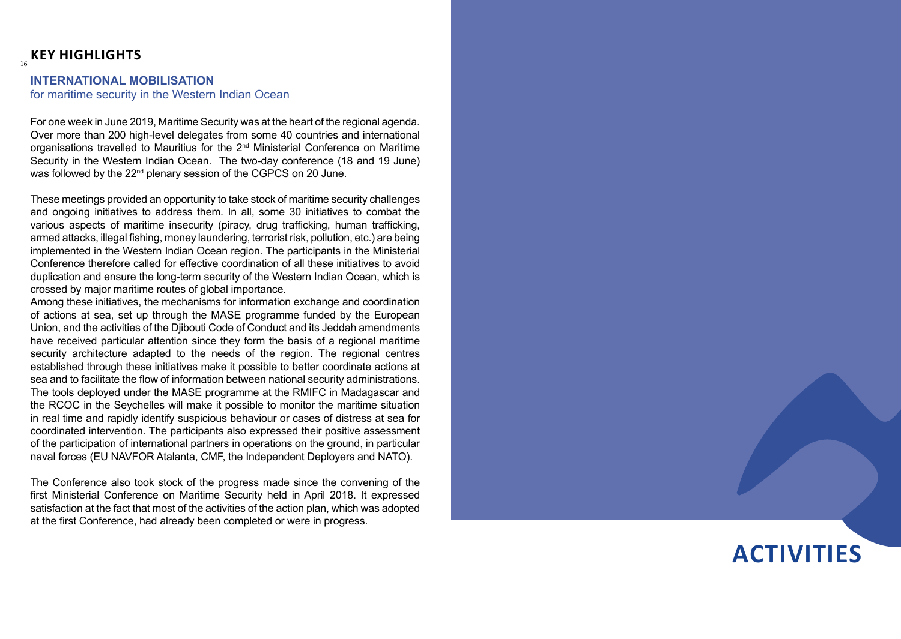16

### **INTERNATIONAL MOBILISATION**

for maritime security in the Western Indian Ocean

For one week in June 2019, Maritime Security was at the heart of the regional agenda. Over more than 200 high-level delegates from some 40 countries and international organisations travelled to Mauritius for the 2nd Ministerial Conference on Maritime Security in the Western Indian Ocean. The two-day conference (18 and 19 June) was followed by the 22<sup>nd</sup> plenary session of the CGPCS on 20 June.

These meetings provided an opportunity to take stock of maritime security challenges and ongoing initiatives to address them. In all, some 30 initiatives to combat the various aspects of maritime insecurity (piracy, drug trafficking, human trafficking, armed attacks, illegal fishing, money laundering, terrorist risk, pollution, etc.) are being implemented in the Western Indian Ocean region. The participants in the Ministerial Conference therefore called for effective coordination of all these initiatives to avoid duplication and ensure the long-term security of the Western Indian Ocean, which is crossed by major maritime routes of global importance.

Among these initiatives, the mechanisms for information exchange and coordination of actions at sea, set up through the MASE programme funded by the European Union, and the activities of the Djibouti Code of Conduct and its Jeddah amendments have received particular attention since they form the basis of a regional maritime security architecture adapted to the needs of the region. The regional centres established through these initiatives make it possible to better coordinate actions at sea and to facilitate the flow of information between national security administrations. The tools deployed under the MASE programme at the RMIFC in Madagascar and the RCOC in the Seychelles will make it possible to monitor the maritime situation in real time and rapidly identify suspicious behaviour or cases of distress at sea for coordinated intervention. The participants also expressed their positive assessment of the participation of international partners in operations on the ground, in particular naval forces (EU NAVFOR Atalanta, CMF, the Independent Deployers and NATO).

The Conference also took stock of the progress made since the convening of the first Ministerial Conference on Maritime Security held in April 2018. It expressed satisfaction at the fact that most of the activities of the action plan, which was adopted at the first Conference, had already been completed or were in progress.

# **ACTIVITIES**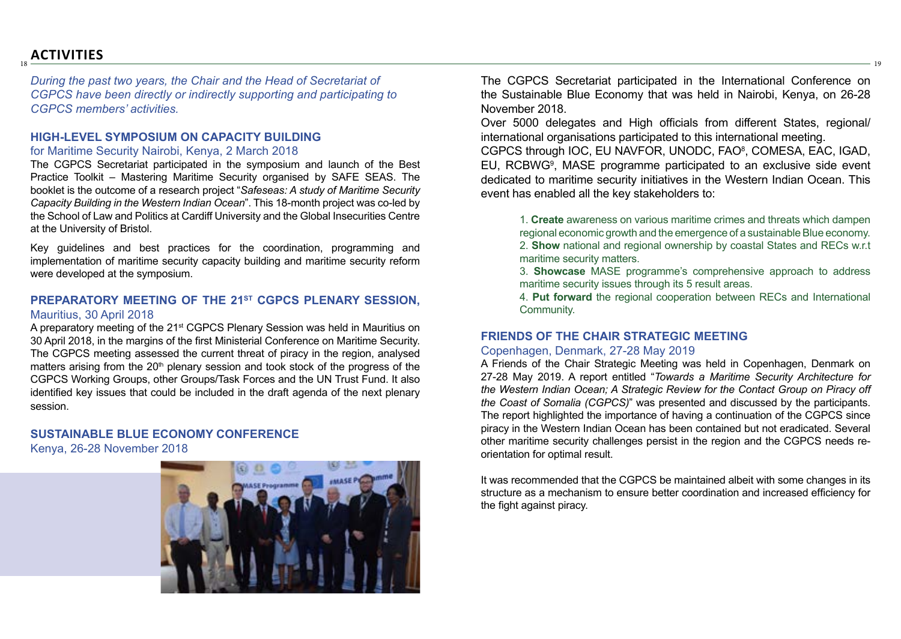## **ACTIVITIES**

18

*During the past two years, the Chair and the Head of Secretariat of CGPCS have been directly or indirectly supporting and participating to CGPCS members' activities.* 

### **HIGH-LEVEL SYMPOSIUM ON CAPACITY BUILDING**

### for Maritime Security Nairobi, Kenya, 2 March 2018

The CGPCS Secretariat participated in the symposium and launch of the Best Practice Toolkit – Mastering Maritime Security organised by SAFE SEAS. The booklet is the outcome of a research project "*Safeseas: A study of Maritime Security Capacity Building in the Western Indian Ocean*". This 18-month project was co-led by the School of Law and Politics at Cardiff University and the Global Insecurities Centre at the University of Bristol.

Key guidelines and best practices for the coordination, programming and implementation of maritime security capacity building and maritime security reform were developed at the symposium.

### **PREPARATORY MEETING OF THE 21ST CGPCS PLENARY SESSION,** Mauritius, 30 April 2018

A preparatory meeting of the 21st CGPCS Plenary Session was held in Mauritius on 30 April 2018, in the margins of the first Ministerial Conference on Maritime Security. The CGPCS meeting assessed the current threat of piracy in the region, analysed matters arising from the 20<sup>th</sup> plenary session and took stock of the progress of the CGPCS Working Groups, other Groups/Task Forces and the UN Trust Fund. It also identified key issues that could be included in the draft agenda of the next plenary session.

## **SUSTAINABLE BLUE ECONOMY CONFERENCE**

Kenya, 26-28 November 2018



The CGPCS Secretariat participated in the International Conference on the Sustainable Blue Economy that was held in Nairobi, Kenya, on 26-28 November 2018.

19

Over 5000 delegates and High officials from different States, regional/ international organisations participated to this international meeting.

CGPCS through IOC, EU NAVFOR, UNODC, FAO<sup>8</sup>, COMESA, EAC, IGAD, EU, RCBWG<sup>9</sup>, MASE programme participated to an exclusive side event dedicated to maritime security initiatives in the Western Indian Ocean. This event has enabled all the key stakeholders to:

1. **Create** awareness on various maritime crimes and threats which dampen regional economic growth and the emergence of a sustainable Blue economy. 2. **Show** national and regional ownership by coastal States and RECs w.r.t maritime security matters.

3. **Showcase** MASE programme's comprehensive approach to address maritime security issues through its 5 result areas.

4. **Put forward** the regional cooperation between RECs and International Community.

### **FRIENDS OF THE CHAIR STRATEGIC MEETING**

### Copenhagen, Denmark, 27-28 May 2019

A Friends of the Chair Strategic Meeting was held in Copenhagen, Denmark on 27-28 May 2019. A report entitled "*Towards a Maritime Security Architecture for the Western Indian Ocean; A Strategic Review for the Contact Group on Piracy off the Coast of Somalia (CGPCS)*" was presented and discussed by the participants. The report highlighted the importance of having a continuation of the CGPCS since piracy in the Western Indian Ocean has been contained but not eradicated. Several other maritime security challenges persist in the region and the CGPCS needs reorientation for optimal result.

It was recommended that the CGPCS be maintained albeit with some changes in its structure as a mechanism to ensure better coordination and increased efficiency for the fight against piracy.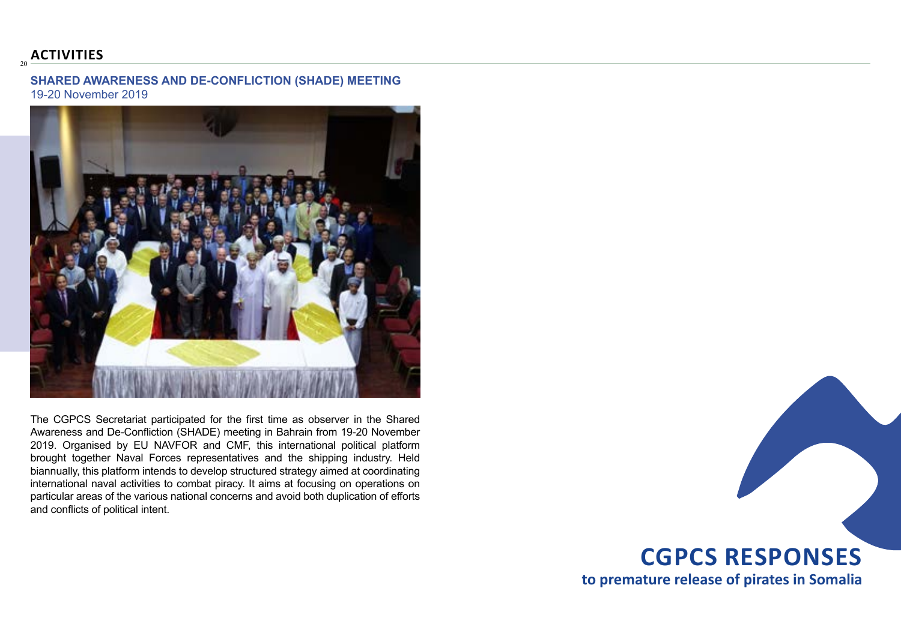## **ACTIVITIES**

 $20$ 

**SHARED AWARENESS AND DE-CONFLICTION (SHADE) MEETING** 19-20 November 2019



The CGPCS Secretariat participated for the first time as observer in the Shared Awareness and De-Confliction (SHADE) meeting in Bahrain from 19-20 November 2019. Organised by EU NAVFOR and CMF, this international political platform brought together Naval Forces representatives and the shipping industry. Held biannually, this platform intends to develop structured strategy aimed at coordinating international naval activities to combat piracy. It aims at focusing on operations on particular areas of the various national concerns and avoid both duplication of efforts and conflicts of political intent.

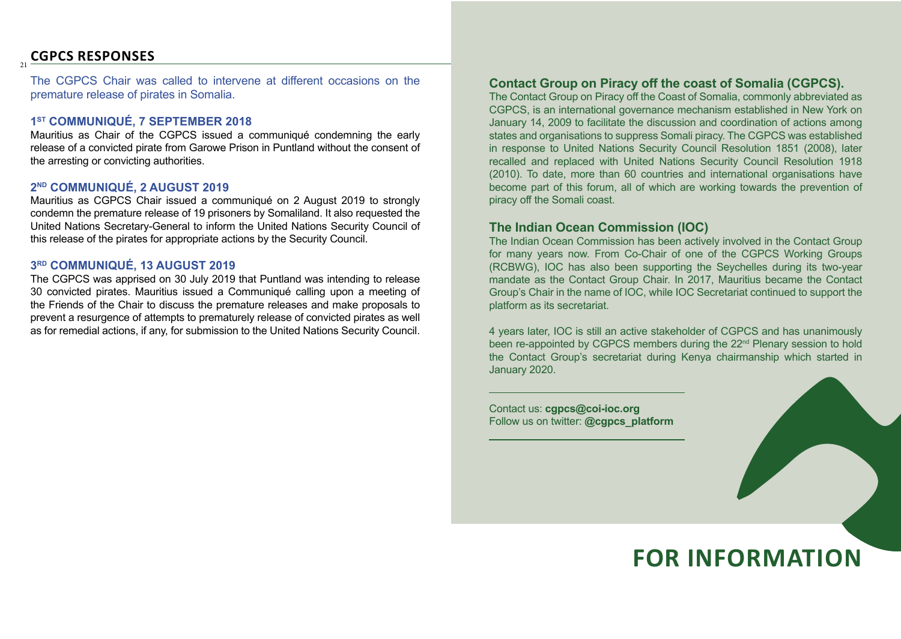## <sup>21</sup> **CGPCS RESPONSES**

The CGPCS Chair was called to intervene at different occasions on the premature release of pirates in Somalia.

### **1ST COMMUNIQUÉ, 7 SEPTEMBER 2018**

Mauritius as Chair of the CGPCS issued a communiqué condemning the early release of a convicted pirate from Garowe Prison in Puntland without the consent of the arresting or convicting authorities.

## **2ND COMMUNIQUÉ, 2 AUGUST 2019**

Mauritius as CGPCS Chair issued a communiqué on 2 August 2019 to strongly condemn the premature release of 19 prisoners by Somaliland. It also requested the United Nations Secretary-General to inform the United Nations Security Council of this release of the pirates for appropriate actions by the Security Council.

### **3RD COMMUNIQUÉ, 13 AUGUST 2019**

The CGPCS was apprised on 30 July 2019 that Puntland was intending to release 30 convicted pirates. Mauritius issued a Communiqué calling upon a meeting of the Friends of the Chair to discuss the premature releases and make proposals to prevent a resurgence of attempts to prematurely release of convicted pirates as well as for remedial actions, if any, for submission to the United Nations Security Council.

### **Contact Group on Piracy off the coast of Somalia (CGPCS).**

The Contact Group on Piracy off the Coast of Somalia, commonly abbreviated as CGPCS, is an international governance mechanism established in New York on January 14, 2009 to facilitate the discussion and coordination of actions among states and organisations to suppress Somali piracy. The CGPCS was established in response to United Nations Security Council Resolution 1851 (2008), later recalled and replaced with United Nations Security Council Resolution 1918 (2010). To date, more than 60 countries and international organisations have become part of this forum, all of which are working towards the prevention of piracy off the Somali coast.

## **The Indian Ocean Commission (IOC)**

The Indian Ocean Commission has been actively involved in the Contact Group for many years now. From Co-Chair of one of the CGPCS Working Groups (RCBWG), IOC has also been supporting the Seychelles during its two-year mandate as the Contact Group Chair. In 2017, Mauritius became the Contact Group's Chair in the name of IOC, while IOC Secretariat continued to support the platform as its secretariat.

4 years later, IOC is still an active stakeholder of CGPCS and has unanimously been re-appointed by CGPCS members during the 22<sup>nd</sup> Plenary session to hold the Contact Group's secretariat during Kenya chairmanship which started in January 2020.

Contact us: **cgpcs@coi-ioc.org** Follow us on twitter: **@cgpcs\_platform**



# **FOR INFORMATION**